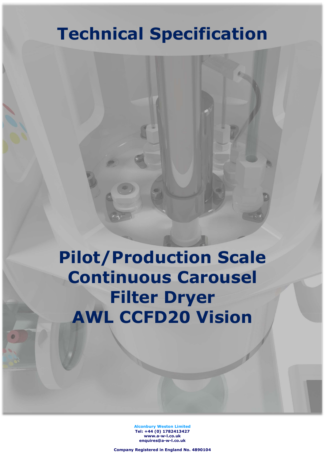# Technical Specification

Pilot/Production Scale Continuous Carousel Filter Dryer AWL CCFD20 Vision

> Alconbury Weston Limited Tel: +44 (0) 1782413427 www.a-w-l.co.uk enquires@a-w-l.co.uk

Company Registered in England No. 4890104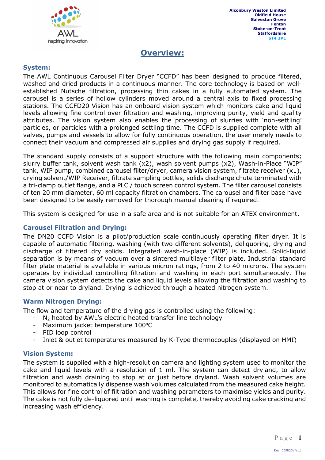

### Overview:

### System:

The AWL Continuous Carousel Filter Dryer "CCFD" has been designed to produce filtered, washed and dried products in a continuous manner. The core technology is based on wellestablished Nutsche filtration, processing thin cakes in a fully automated system. The carousel is a series of hollow cylinders moved around a central axis to fixed processing stations. The CCFD20 Vision has an onboard vision system which monitors cake and liquid levels allowing fine control over filtration and washing, improving purity, yield and quality attributes. The vision system also enables the processing of slurries with 'non-settling' particles, or particles with a prolonged settling time. The CCFD is supplied complete with all valves, pumps and vessels to allow for fully continuous operation, the user merely needs to connect their vacuum and compressed air supplies and drying gas supply if required.

The standard supply consists of a support structure with the following main components; slurry buffer tank, solvent wash tank (x2), wash solvent pumps (x2), Wash-in-Place "WIP" tank, WIP pump, combined carousel filter/dryer, camera vision system, filtrate receiver (x1), drying solvent/WIP Receiver, filtrate sampling bottles, solids discharge chute terminated with a tri-clamp outlet flange, and a PLC / touch screen control system. The filter carousel consists of ten 20 mm diameter, 60 ml capacity filtration chambers. The carousel and filter base have been designed to be easily removed for thorough manual cleaning if required.

This system is designed for use in a safe area and is not suitable for an ATEX environment.

### Carousel Filtration and Drying:

The DN20 CCFD Vision is a pilot/production scale continuously operating filter dryer. It is capable of automatic filtering, washing (with two different solvents), deliquoring, drying and discharge of filtered dry solids. Integrated wash-in-place (WIP) is included. Solid-liquid separation is by means of vacuum over a sintered multilayer filter plate. Industrial standard filter plate material is available in various micron ratings, from 2 to 40 microns. The system operates by individual controlling filtration and washing in each port simultaneously. The camera vision system detects the cake and liquid levels allowing the filtration and washing to stop at or near to dryland. Drying is achieved through a heated nitrogen system.

#### Warm Nitrogen Drying:

The flow and temperature of the drying gas is controlled using the following:

- $N_2$  heated by AWL's electric heated transfer line technology
- Maximum jacket temperature  $100^{\circ}$ C
- PID loop control
- Inlet & outlet temperatures measured by K-Type thermocouples (displayed on HMI)

#### Vision System:

The system is supplied with a high-resolution camera and lighting system used to monitor the cake and liquid levels with a resolution of 1 ml. The system can detect dryland, to allow filtration and wash draining to stop at or just before dryland. Wash solvent volumes are monitored to automatically dispense wash volumes calculated from the measured cake height. This allows for fine control of filtration and washing parameters to maximise yields and purity. The cake is not fully de-liquored until washing is complete, thereby avoiding cake cracking and increasing wash efficiency.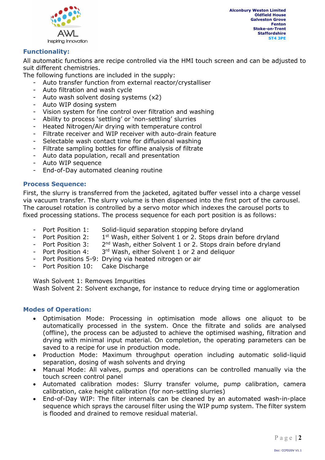

### Functionality:

All automatic functions are recipe controlled via the HMI touch screen and can be adjusted to suit different chemistries.

The following functions are included in the supply:

- Auto transfer function from external reactor/crystalliser
- Auto filtration and wash cycle
- Auto wash solvent dosing systems  $(x2)$
- Auto WIP dosing system
- Vision system for fine control over filtration and washing
- Ability to process 'settling' or 'non-settling' slurries
- Heated Nitrogen/Air drying with temperature control
- Filtrate receiver and WIP receiver with auto-drain feature
- Selectable wash contact time for diffusional washing
- Filtrate sampling bottles for offline analysis of filtrate
- Auto data population, recall and presentation
- Auto WIP sequence
- End-of-Day automated cleaning routine

#### Process Sequence:

First, the slurry is transferred from the jacketed, agitated buffer vessel into a charge vessel via vacuum transfer. The slurry volume is then dispensed into the first port of the carousel. The carousel rotation is controlled by a servo motor which indexes the carousel ports to fixed processing stations. The process sequence for each port position is as follows:

- Port Position 1: Solid-liquid separation stopping before dryland
- Port Position 2: 1<sup>st</sup> Wash, either Solvent 1 or 2. Stops drain before dryland
- Port Position 3: 2<sup>nd</sup> Wash, either Solvent 1 or 2. Stops drain before dryland
- Port Position 4: 3<sup>rd</sup> Wash, either Solvent 1 or 2 and deliquor
- Port Positions 5-9: Drying via heated nitrogen or air
- Port Position 10: Cake Discharge

Wash Solvent 1: Removes Impurities

Wash Solvent 2: Solvent exchange, for instance to reduce drying time or agglomeration

#### Modes of Operation:

- Optimisation Mode: Processing in optimisation mode allows one aliquot to be automatically processed in the system. Once the filtrate and solids are analysed (offline), the process can be adjusted to achieve the optimised washing, filtration and drying with minimal input material. On completion, the operating parameters can be saved to a recipe for use in production mode.
- Production Mode: Maximum throughput operation including automatic solid-liquid separation, dosing of wash solvents and drying
- Manual Mode: All valves, pumps and operations can be controlled manually via the touch screen control panel
- Automated calibration modes: Slurry transfer volume, pump calibration, camera calibration, cake height calibration (for non-settling slurries)
- End-of-Day WIP: The filter internals can be cleaned by an automated wash-in-place sequence which sprays the carousel filter using the WIP pump system. The filter system is flooded and drained to remove residual material.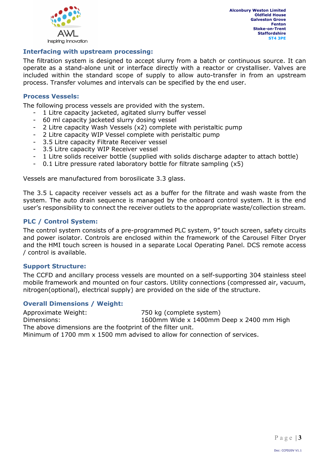

### Interfacing with upstream processing:

The filtration system is designed to accept slurry from a batch or continuous source. It can operate as a stand-alone unit or interface directly with a reactor or crystalliser. Valves are included within the standard scope of supply to allow auto-transfer in from an upstream process. Transfer volumes and intervals can be specified by the end user.

#### Process Vessels:

The following process vessels are provided with the system.

- 1 Litre capacity jacketed, agitated slurry buffer vessel
- 60 ml capacity jacketed slurry dosing vessel
- 2 Litre capacity Wash Vessels (x2) complete with peristaltic pump
- 2 Litre capacity WIP Vessel complete with peristaltic pump
- 3.5 Litre capacity Filtrate Receiver vessel
- 3.5 Litre capacity WIP Receiver vessel
- 1 Litre solids receiver bottle (supplied with solids discharge adapter to attach bottle)
- 0.1 Litre pressure rated laboratory bottle for filtrate sampling (x5)

Vessels are manufactured from borosilicate 3.3 glass.

The 3.5 L capacity receiver vessels act as a buffer for the filtrate and wash waste from the system. The auto drain sequence is managed by the onboard control system. It is the end user's responsibility to connect the receiver outlets to the appropriate waste/collection stream.

### PLC / Control System:

The control system consists of a pre-programmed PLC system, 9" touch screen, safety circuits and power isolator. Controls are enclosed within the framework of the Carousel Filter Dryer and the HMI touch screen is housed in a separate Local Operating Panel. DCS remote access / control is available.

#### Support Structure:

The CCFD and ancillary process vessels are mounted on a self-supporting 304 stainless steel mobile framework and mounted on four castors. Utility connections (compressed air, vacuum, nitrogen(optional), electrical supply) are provided on the side of the structure.

#### Overall Dimensions / Weight:

Approximate Weight: 750 kg (complete system) Dimensions: 1600mm Wide x 1400mm Deep x 2400 mm High The above dimensions are the footprint of the filter unit. Minimum of 1700 mm x 1500 mm advised to allow for connection of services.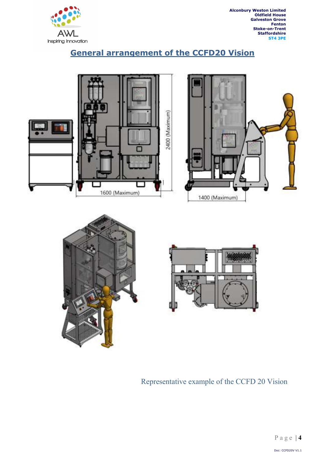

### General arrangement of the CCFD20 Vision







### Representative example of the CCFD 20 Vision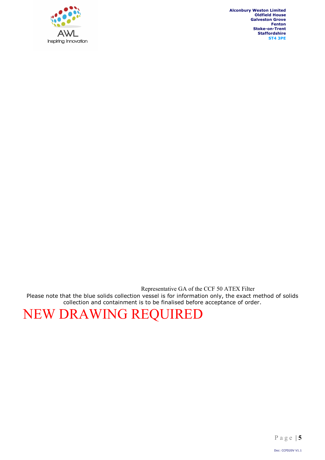

Representative GA of the CCF 50 ATEX Filter Please note that the blue solids collection vessel is for information only, the exact method of solids collection and containment is to be finalised before acceptance of order.

## NEW DRAWING REQUIRED

P a g e | 5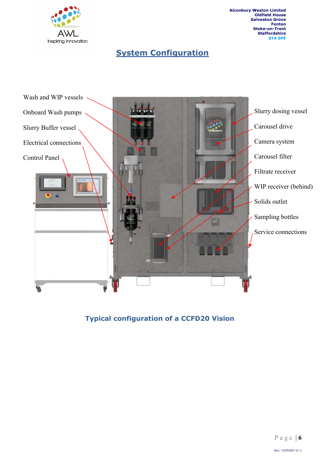

### **System Configuration**



Typical configuration of a CCFD20 Vision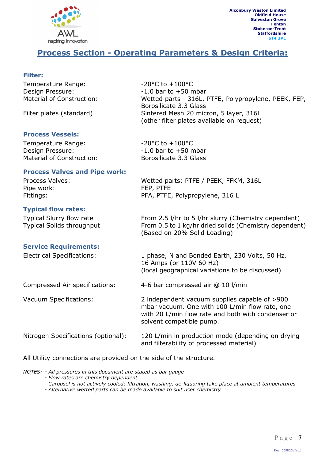

### Process Section - Operating Parameters & Design Criteria:

Borosilicate 3.3 Glass

(other filter plates available on request)

(Based on 20% Solid Loading)

### Filter:

Temperature Range:  $-20^{\circ}$ C to +100°C Design Pressure:  $-1.0$  bar to +50 mbar Material of Construction: Wetted parts - 316L, PTFE, Polypropylene, PEEK, FEP,

Filter plates (standard) Sintered Mesh 20 micron, 5 layer, 316L

### Process Vessels:

| Temperature Range:        | $-20^{\circ}$ C to $+100^{\circ}$ C |  |
|---------------------------|-------------------------------------|--|
| Design Pressure:          | $-1.0$ bar to $+50$ mbar            |  |
| Material of Construction: | Borosilicate 3.3 Glass              |  |
|                           |                                     |  |

### Process Valves and Pipe work:

Process Valves: Wetted parts: PTFE / PEEK, FFKM, 316L Pipe work: FEP, PTFE Fittings: PFA, PTFE, Polypropylene, 316 L

### Typical flow rates:

Typical Slurry flow rate From 2.5 l/hr to 5 l/hr slurry (Chemistry dependent) Typical Solids throughput From 0.5 to 1 kg/hr dried solids (Chemistry dependent)

#### Service Requirements:

Electrical Specifications: 1 phase, N and Bonded Earth, 230 Volts, 50 Hz, 16 Amps (or 110V 60 Hz) (local geographical variations to be discussed) Compressed Air specifications: 4-6 bar compressed air @ 10 l/min Vacuum Specifications: 2 independent vacuum supplies capable of >900 mbar vacuum. One with 100 L/min flow rate, one with 20 L/min flow rate and both with condenser or solvent compatible pump. Nitrogen Specifications (optional): 120 L/min in production mode (depending on drying and filterability of processed material)

All Utility connections are provided on the side of the structure.

NOTES: - All pressures in this document are stated as bar gauge

- Flow rates are chemistry dependent
- Carousel is not actively cooled; filtration, washing, de-liquoring take place at ambient temperatures
- Alternative wetted parts can be made available to suit user chemistry